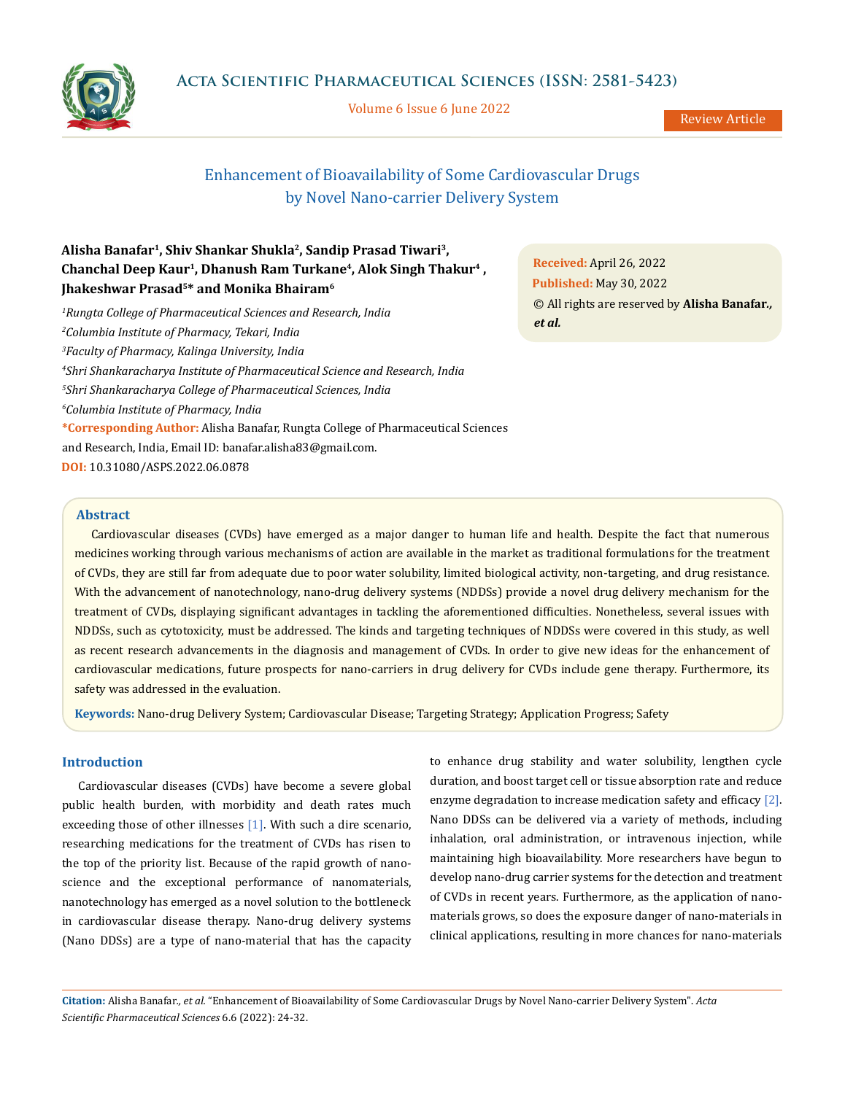

Volume 6 Issue 6 June 2022

Review Article

# Enhancement of Bioavailability of Some Cardiovascular Drugs by Novel Nano-carrier Delivery System

## **Alisha Banafar1, Shiv Shankar Shukla2, Sandip Prasad Tiwari3, Chanchal Deep Kaur1, Dhanush Ram Turkane4, Alok Singh Thakur4 , Jhakeshwar Prasad5\* and Monika Bhairam6**

 *Rungta College of Pharmaceutical Sciences and Research, India Columbia Institute of Pharmacy, Tekari, India Faculty of Pharmacy, Kalinga University, India Shri Shankaracharya Institute of Pharmaceutical Science and Research, India Shri Shankaracharya College of Pharmaceutical Sciences, India Columbia Institute of Pharmacy, India* **\*Corresponding Author:** Alisha Banafar, Rungta College of Pharmaceutical Sciences and Research, India, Email ID: banafar.alisha83@gmail.com. **DOI:** [10.31080/ASPS.2022.06.0878](https://actascientific.com/ASPS/pdf/ASPS-04-0878.pdf)

**Received:** April 26, 2022 **Published:** May 30, 2022 © All rights are reserved by **Alisha Banafar***., et al.*

## **Abstract**

Cardiovascular diseases (CVDs) have emerged as a major danger to human life and health. Despite the fact that numerous medicines working through various mechanisms of action are available in the market as traditional formulations for the treatment of CVDs, they are still far from adequate due to poor water solubility, limited biological activity, non-targeting, and drug resistance. With the advancement of nanotechnology, nano-drug delivery systems (NDDSs) provide a novel drug delivery mechanism for the treatment of CVDs, displaying significant advantages in tackling the aforementioned difficulties. Nonetheless, several issues with NDDSs, such as cytotoxicity, must be addressed. The kinds and targeting techniques of NDDSs were covered in this study, as well as recent research advancements in the diagnosis and management of CVDs. In order to give new ideas for the enhancement of cardiovascular medications, future prospects for nano-carriers in drug delivery for CVDs include gene therapy. Furthermore, its safety was addressed in the evaluation.

**Keywords:** Nano-drug Delivery System; Cardiovascular Disease; Targeting Strategy; Application Progress; Safety

## **Introduction**

Cardiovascular diseases (CVDs) have become a severe global public health burden, with morbidity and death rates much exceeding those of other illnesses [1]. With such a dire scenario, researching medications for the treatment of CVDs has risen to the top of the priority list. Because of the rapid growth of nanoscience and the exceptional performance of nanomaterials, nanotechnology has emerged as a novel solution to the bottleneck in cardiovascular disease therapy. Nano-drug delivery systems (Nano DDSs) are a type of nano-material that has the capacity

to enhance drug stability and water solubility, lengthen cycle duration, and boost target cell or tissue absorption rate and reduce enzyme degradation to increase medication safety and efficacy [2]. Nano DDSs can be delivered via a variety of methods, including inhalation, oral administration, or intravenous injection, while maintaining high bioavailability. More researchers have begun to develop nano-drug carrier systems for the detection and treatment of CVDs in recent years. Furthermore, as the application of nanomaterials grows, so does the exposure danger of nano-materials in clinical applications, resulting in more chances for nano-materials

**Citation:** Alisha Banafar*., et al.* "Enhancement of Bioavailability of Some Cardiovascular Drugs by Novel Nano-carrier Delivery System". *Acta Scientific Pharmaceutical Sciences* 6.6 (2022): 24-32.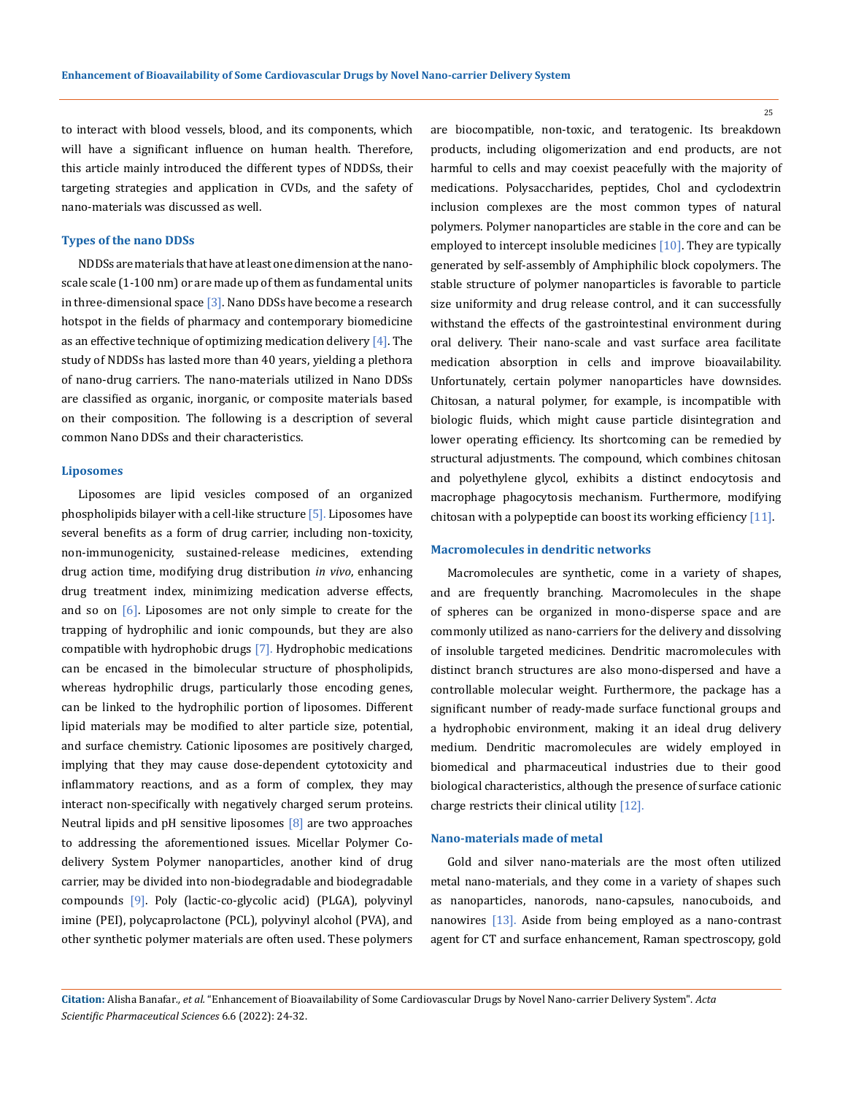to interact with blood vessels, blood, and its components, which will have a significant influence on human health. Therefore, this article mainly introduced the different types of NDDSs, their targeting strategies and application in CVDs, and the safety of nano-materials was discussed as well.

#### **Types of the nano DDSs**

NDDSs are materials that have at least one dimension at the nanoscale scale (1-100 nm) or are made up of them as fundamental units in three-dimensional space  $\left[3\right]$ . Nano DDSs have become a research hotspot in the fields of pharmacy and contemporary biomedicine as an effective technique of optimizing medication delivery  $[4]$ . The study of NDDSs has lasted more than 40 years, yielding a plethora of nano-drug carriers. The nano-materials utilized in Nano DDSs are classified as organic, inorganic, or composite materials based on their composition. The following is a description of several common Nano DDSs and their characteristics.

## **Liposomes**

Liposomes are lipid vesicles composed of an organized phospholipids bilayer with a cell-like structure  $[5]$ . Liposomes have several benefits as a form of drug carrier, including non-toxicity, non-immunogenicity, sustained-release medicines, extending drug action time, modifying drug distribution *in vivo*, enhancing drug treatment index, minimizing medication adverse effects, and so on  $\lceil 6 \rceil$ . Liposomes are not only simple to create for the trapping of hydrophilic and ionic compounds, but they are also compatible with hydrophobic drugs [7]. Hydrophobic medications can be encased in the bimolecular structure of phospholipids, whereas hydrophilic drugs, particularly those encoding genes, can be linked to the hydrophilic portion of liposomes. Different lipid materials may be modified to alter particle size, potential, and surface chemistry. Cationic liposomes are positively charged, implying that they may cause dose-dependent cytotoxicity and inflammatory reactions, and as a form of complex, they may interact non-specifically with negatively charged serum proteins. Neutral lipids and pH sensitive liposomes  $[8]$  are two approaches to addressing the aforementioned issues. Micellar Polymer Codelivery System Polymer nanoparticles, another kind of drug carrier, may be divided into non-biodegradable and biodegradable compounds [9]. Poly (lactic-co-glycolic acid) (PLGA), polyvinyl imine (PEI), polycaprolactone (PCL), polyvinyl alcohol (PVA), and other synthetic polymer materials are often used. These polymers

are biocompatible, non-toxic, and teratogenic. Its breakdown products, including oligomerization and end products, are not harmful to cells and may coexist peacefully with the majority of medications. Polysaccharides, peptides, Chol and cyclodextrin inclusion complexes are the most common types of natural polymers. Polymer nanoparticles are stable in the core and can be employed to intercept insoluble medicines [10]. They are typically generated by self-assembly of Amphiphilic block copolymers. The stable structure of polymer nanoparticles is favorable to particle size uniformity and drug release control, and it can successfully withstand the effects of the gastrointestinal environment during oral delivery. Their nano-scale and vast surface area facilitate medication absorption in cells and improve bioavailability. Unfortunately, certain polymer nanoparticles have downsides. Chitosan, a natural polymer, for example, is incompatible with biologic fluids, which might cause particle disintegration and lower operating efficiency. Its shortcoming can be remedied by structural adjustments. The compound, which combines chitosan and polyethylene glycol, exhibits a distinct endocytosis and macrophage phagocytosis mechanism. Furthermore, modifying chitosan with a polypeptide can boost its working efficiency [11].

## **Macromolecules in dendritic networks**

Macromolecules are synthetic, come in a variety of shapes, and are frequently branching. Macromolecules in the shape of spheres can be organized in mono-disperse space and are commonly utilized as nano-carriers for the delivery and dissolving of insoluble targeted medicines. Dendritic macromolecules with distinct branch structures are also mono-dispersed and have a controllable molecular weight. Furthermore, the package has a significant number of ready-made surface functional groups and a hydrophobic environment, making it an ideal drug delivery medium. Dendritic macromolecules are widely employed in biomedical and pharmaceutical industries due to their good biological characteristics, although the presence of surface cationic charge restricts their clinical utility [12].

## **Nano-materials made of metal**

Gold and silver nano-materials are the most often utilized metal nano-materials, and they come in a variety of shapes such as nanoparticles, nanorods, nano-capsules, nanocuboids, and nanowires [13]. Aside from being employed as a nano-contrast agent for CT and surface enhancement, Raman spectroscopy, gold

**Citation:** Alisha Banafar*., et al.* "Enhancement of Bioavailability of Some Cardiovascular Drugs by Novel Nano-carrier Delivery System". *Acta Scientific Pharmaceutical Sciences* 6.6 (2022): 24-32.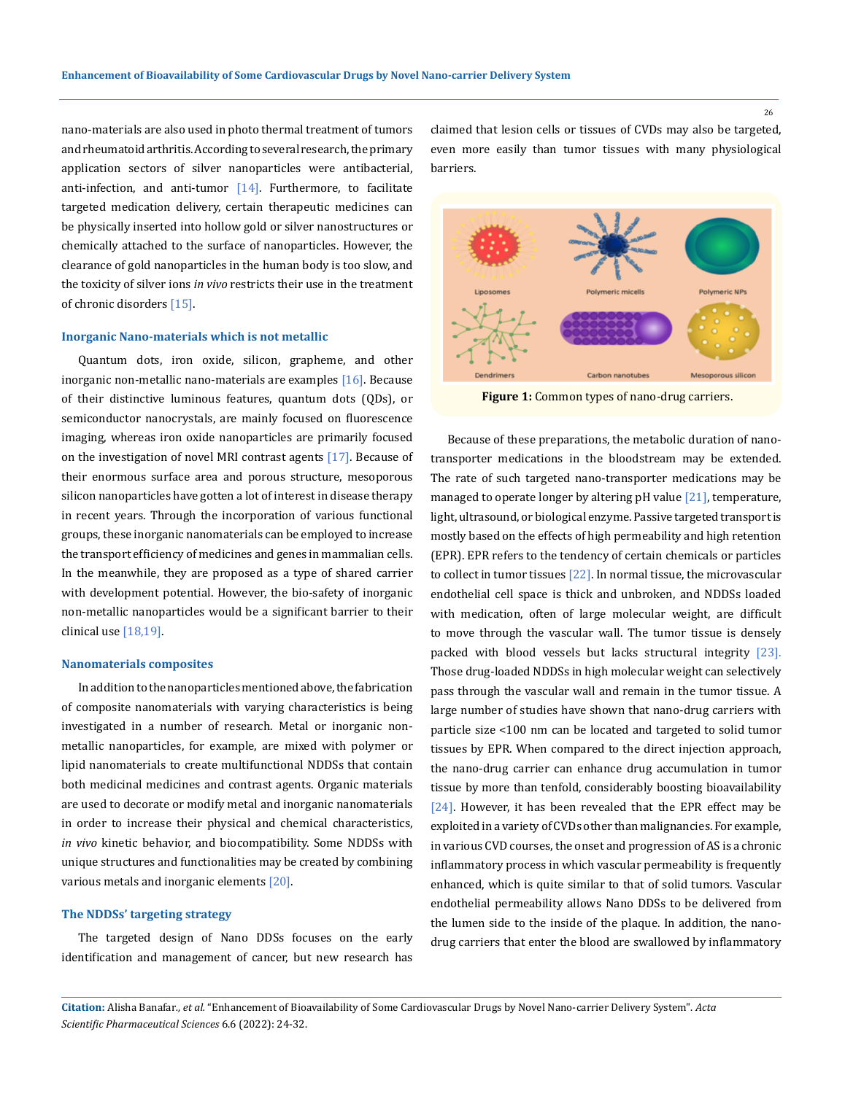nano-materials are also used in photo thermal treatment of tumors and rheumatoid arthritis. According to several research, the primary application sectors of silver nanoparticles were antibacterial, anti-infection, and anti-tumor  $[14]$ . Furthermore, to facilitate targeted medication delivery, certain therapeutic medicines can be physically inserted into hollow gold or silver nanostructures or chemically attached to the surface of nanoparticles. However, the clearance of gold nanoparticles in the human body is too slow, and the toxicity of silver ions *in vivo* restricts their use in the treatment of chronic disorders [15].

## **Inorganic Nano-materials which is not metallic**

Quantum dots, iron oxide, silicon, grapheme, and other inorganic non-metallic nano-materials are examples [16]. Because of their distinctive luminous features, quantum dots (QDs), or semiconductor nanocrystals, are mainly focused on fluorescence imaging, whereas iron oxide nanoparticles are primarily focused on the investigation of novel MRI contrast agents [17]. Because of their enormous surface area and porous structure, mesoporous silicon nanoparticles have gotten a lot of interest in disease therapy in recent years. Through the incorporation of various functional groups, these inorganic nanomaterials can be employed to increase the transport efficiency of medicines and genes in mammalian cells. In the meanwhile, they are proposed as a type of shared carrier with development potential. However, the bio-safety of inorganic non-metallic nanoparticles would be a significant barrier to their clinical use [18,19].

#### **Nanomaterials composites**

In addition to the nanoparticles mentioned above, the fabrication of composite nanomaterials with varying characteristics is being investigated in a number of research. Metal or inorganic nonmetallic nanoparticles, for example, are mixed with polymer or lipid nanomaterials to create multifunctional NDDSs that contain both medicinal medicines and contrast agents. Organic materials are used to decorate or modify metal and inorganic nanomaterials in order to increase their physical and chemical characteristics, *in vivo* kinetic behavior, and biocompatibility. Some NDDSs with unique structures and functionalities may be created by combining various metals and inorganic elements [20].

## **The NDDSs' targeting strategy**

The targeted design of Nano DDSs focuses on the early identification and management of cancer, but new research has claimed that lesion cells or tissues of CVDs may also be targeted, even more easily than tumor tissues with many physiological barriers.



**Figure 1:** Common types of nano-drug carriers.

Because of these preparations, the metabolic duration of nanotransporter medications in the bloodstream may be extended. The rate of such targeted nano-transporter medications may be managed to operate longer by altering pH value [21], temperature, light, ultrasound, or biological enzyme. Passive targeted transport is mostly based on the effects of high permeability and high retention (EPR). EPR refers to the tendency of certain chemicals or particles to collect in tumor tissues [22]. In normal tissue, the microvascular endothelial cell space is thick and unbroken, and NDDSs loaded with medication, often of large molecular weight, are difficult to move through the vascular wall. The tumor tissue is densely packed with blood vessels but lacks structural integrity [23]. Those drug-loaded NDDSs in high molecular weight can selectively pass through the vascular wall and remain in the tumor tissue. A large number of studies have shown that nano-drug carriers with particle size <100 nm can be located and targeted to solid tumor tissues by EPR. When compared to the direct injection approach, the nano-drug carrier can enhance drug accumulation in tumor tissue by more than tenfold, considerably boosting bioavailability [24]. However, it has been revealed that the EPR effect may be exploited in a variety of CVDs other than malignancies. For example, in various CVD courses, the onset and progression of AS is a chronic inflammatory process in which vascular permeability is frequently enhanced, which is quite similar to that of solid tumors. Vascular endothelial permeability allows Nano DDSs to be delivered from the lumen side to the inside of the plaque. In addition, the nanodrug carriers that enter the blood are swallowed by inflammatory

**Citation:** Alisha Banafar*., et al.* "Enhancement of Bioavailability of Some Cardiovascular Drugs by Novel Nano-carrier Delivery System". *Acta Scientific Pharmaceutical Sciences* 6.6 (2022): 24-32.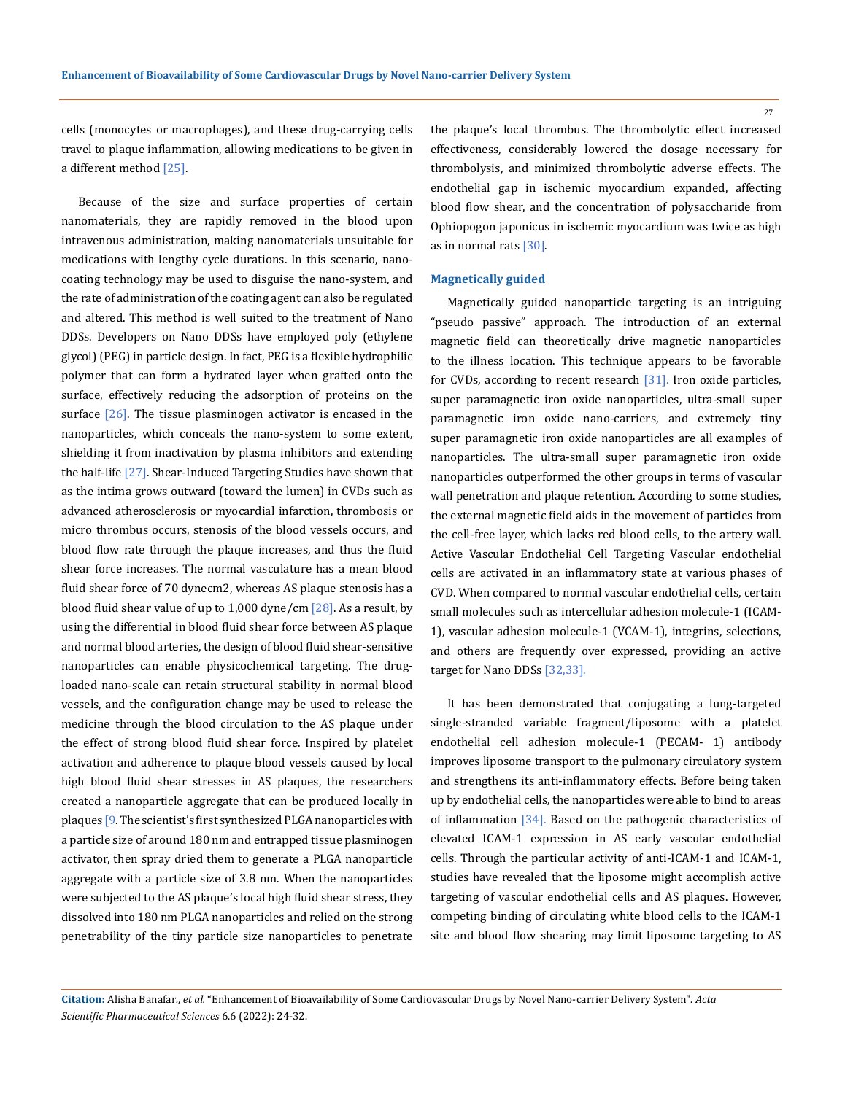27

cells (monocytes or macrophages), and these drug-carrying cells travel to plaque inflammation, allowing medications to be given in a different method [25].

Because of the size and surface properties of certain nanomaterials, they are rapidly removed in the blood upon intravenous administration, making nanomaterials unsuitable for medications with lengthy cycle durations. In this scenario, nanocoating technology may be used to disguise the nano-system, and the rate of administration of the coating agent can also be regulated and altered. This method is well suited to the treatment of Nano DDSs. Developers on Nano DDSs have employed poly (ethylene glycol) (PEG) in particle design. In fact, PEG is a flexible hydrophilic polymer that can form a hydrated layer when grafted onto the surface, effectively reducing the adsorption of proteins on the surface  $[26]$ . The tissue plasminogen activator is encased in the nanoparticles, which conceals the nano-system to some extent, shielding it from inactivation by plasma inhibitors and extending the half-life [27]. Shear-Induced Targeting Studies have shown that as the intima grows outward (toward the lumen) in CVDs such as advanced atherosclerosis or myocardial infarction, thrombosis or micro thrombus occurs, stenosis of the blood vessels occurs, and blood flow rate through the plaque increases, and thus the fluid shear force increases. The normal vasculature has a mean blood fluid shear force of 70 dynecm2, whereas AS plaque stenosis has a blood fluid shear value of up to  $1,000$  dyne/cm  $[28]$ . As a result, by using the differential in blood fluid shear force between AS plaque and normal blood arteries, the design of blood fluid shear-sensitive nanoparticles can enable physicochemical targeting. The drugloaded nano-scale can retain structural stability in normal blood vessels, and the configuration change may be used to release the medicine through the blood circulation to the AS plaque under the effect of strong blood fluid shear force. Inspired by platelet activation and adherence to plaque blood vessels caused by local high blood fluid shear stresses in AS plaques, the researchers created a nanoparticle aggregate that can be produced locally in plaques [9. The scientist's first synthesized PLGA nanoparticles with a particle size of around 180 nm and entrapped tissue plasminogen activator, then spray dried them to generate a PLGA nanoparticle aggregate with a particle size of 3.8 nm. When the nanoparticles were subjected to the AS plaque's local high fluid shear stress, they dissolved into 180 nm PLGA nanoparticles and relied on the strong penetrability of the tiny particle size nanoparticles to penetrate

the plaque's local thrombus. The thrombolytic effect increased effectiveness, considerably lowered the dosage necessary for thrombolysis, and minimized thrombolytic adverse effects. The endothelial gap in ischemic myocardium expanded, affecting blood flow shear, and the concentration of polysaccharide from Ophiopogon japonicus in ischemic myocardium was twice as high as in normal rats [30].

## **Magnetically guided**

Magnetically guided nanoparticle targeting is an intriguing "pseudo passive" approach. The introduction of an external magnetic field can theoretically drive magnetic nanoparticles to the illness location. This technique appears to be favorable for CVDs, according to recent research [31]. Iron oxide particles, super paramagnetic iron oxide nanoparticles, ultra-small super paramagnetic iron oxide nano-carriers, and extremely tiny super paramagnetic iron oxide nanoparticles are all examples of nanoparticles. The ultra-small super paramagnetic iron oxide nanoparticles outperformed the other groups in terms of vascular wall penetration and plaque retention. According to some studies, the external magnetic field aids in the movement of particles from the cell-free layer, which lacks red blood cells, to the artery wall. Active Vascular Endothelial Cell Targeting Vascular endothelial cells are activated in an inflammatory state at various phases of CVD. When compared to normal vascular endothelial cells, certain small molecules such as intercellular adhesion molecule-1 (ICAM-1), vascular adhesion molecule-1 (VCAM-1), integrins, selections, and others are frequently over expressed, providing an active target for Nano DDSs [32,33].

It has been demonstrated that conjugating a lung-targeted single-stranded variable fragment/liposome with a platelet endothelial cell adhesion molecule-1 (PECAM- 1) antibody improves liposome transport to the pulmonary circulatory system and strengthens its anti-inflammatory effects. Before being taken up by endothelial cells, the nanoparticles were able to bind to areas of inflammation [34]. Based on the pathogenic characteristics of elevated ICAM-1 expression in AS early vascular endothelial cells. Through the particular activity of anti-ICAM-1 and ICAM-1, studies have revealed that the liposome might accomplish active targeting of vascular endothelial cells and AS plaques. However, competing binding of circulating white blood cells to the ICAM-1 site and blood flow shearing may limit liposome targeting to AS

**Citation:** Alisha Banafar*., et al.* "Enhancement of Bioavailability of Some Cardiovascular Drugs by Novel Nano-carrier Delivery System". *Acta Scientific Pharmaceutical Sciences* 6.6 (2022): 24-32.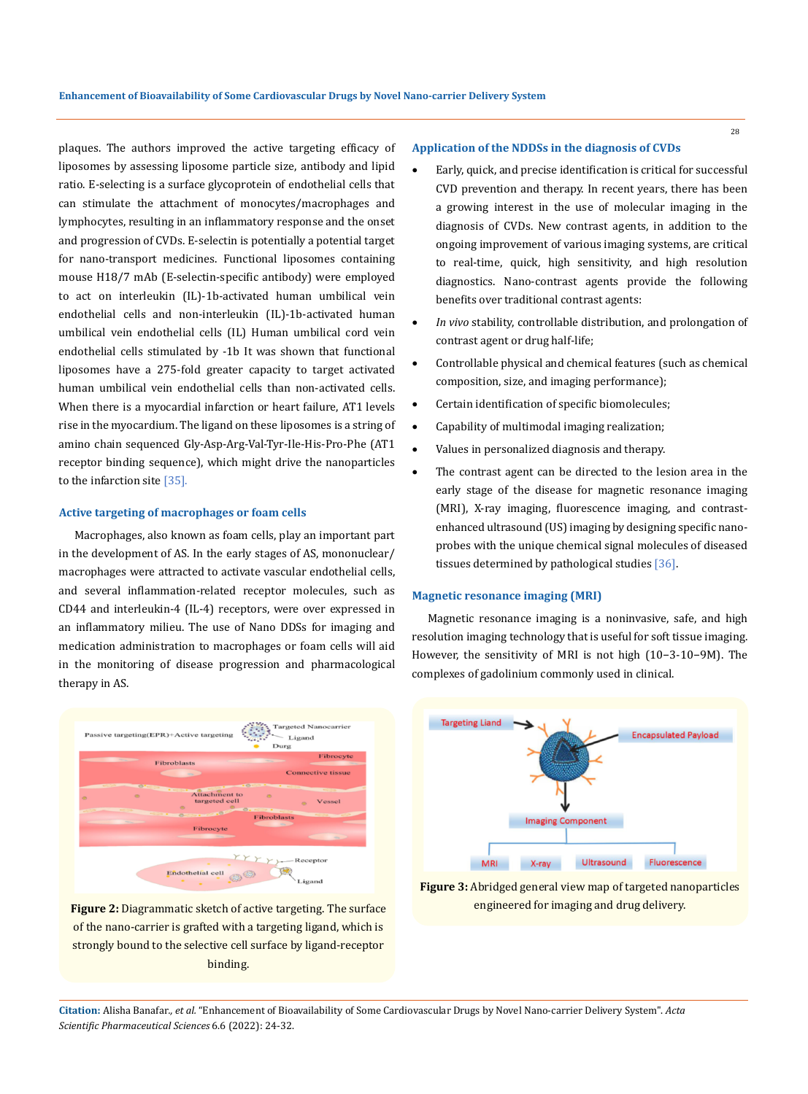plaques. The authors improved the active targeting efficacy of liposomes by assessing liposome particle size, antibody and lipid ratio. E-selecting is a surface glycoprotein of endothelial cells that can stimulate the attachment of monocytes/macrophages and lymphocytes, resulting in an inflammatory response and the onset and progression of CVDs. E-selectin is potentially a potential target for nano-transport medicines. Functional liposomes containing mouse H18/7 mAb (E-selectin-specific antibody) were employed to act on interleukin (IL)-1b-activated human umbilical vein endothelial cells and non-interleukin (IL)-1b-activated human umbilical vein endothelial cells (IL) Human umbilical cord vein endothelial cells stimulated by -1b It was shown that functional liposomes have a 275-fold greater capacity to target activated human umbilical vein endothelial cells than non-activated cells. When there is a myocardial infarction or heart failure, AT1 levels rise in the myocardium. The ligand on these liposomes is a string of amino chain sequenced Gly-Asp-Arg-Val-Tyr-Ile-His-Pro-Phe (AT1 receptor binding sequence), which might drive the nanoparticles to the infarction site [35].

## **Active targeting of macrophages or foam cells**

Macrophages, also known as foam cells, play an important part in the development of AS. In the early stages of AS, mononuclear/ macrophages were attracted to activate vascular endothelial cells, and several inflammation-related receptor molecules, such as CD44 and interleukin-4 (IL-4) receptors, were over expressed in an inflammatory milieu. The use of Nano DDSs for imaging and medication administration to macrophages or foam cells will aid in the monitoring of disease progression and pharmacological therapy in AS.



**Figure 2:** Diagrammatic sketch of active targeting. The surface of the nano-carrier is grafted with a targeting ligand, which is strongly bound to the selective cell surface by ligand-receptor binding.

## **Application of the NDDSs in the diagnosis of CVDs**

- Early, quick, and precise identification is critical for successful CVD prevention and therapy. In recent years, there has been a growing interest in the use of molecular imaging in the diagnosis of CVDs. New contrast agents, in addition to the ongoing improvement of various imaging systems, are critical to real-time, quick, high sensitivity, and high resolution diagnostics. Nano-contrast agents provide the following benefits over traditional contrast agents:
- In vivo stability, controllable distribution, and prolongation of contrast agent or drug half-life;
- Controllable physical and chemical features (such as chemical composition, size, and imaging performance);
- Certain identification of specific biomolecules;
- Capability of multimodal imaging realization;
- Values in personalized diagnosis and therapy.
- The contrast agent can be directed to the lesion area in the early stage of the disease for magnetic resonance imaging (MRI), X-ray imaging, fluorescence imaging, and contrastenhanced ultrasound (US) imaging by designing specific nanoprobes with the unique chemical signal molecules of diseased tissues determined by pathological studies [36].

## **Magnetic resonance imaging (MRI)**

Magnetic resonance imaging is a noninvasive, safe, and high resolution imaging technology that is useful for soft tissue imaging. However, the sensitivity of MRI is not high (10−3-10−9M). The complexes of gadolinium commonly used in clinical.



**Figure 3:** Abridged general view map of targeted nanoparticles engineered for imaging and drug delivery.

**Citation:** Alisha Banafar*., et al.* "Enhancement of Bioavailability of Some Cardiovascular Drugs by Novel Nano-carrier Delivery System". *Acta Scientific Pharmaceutical Sciences* 6.6 (2022): 24-32.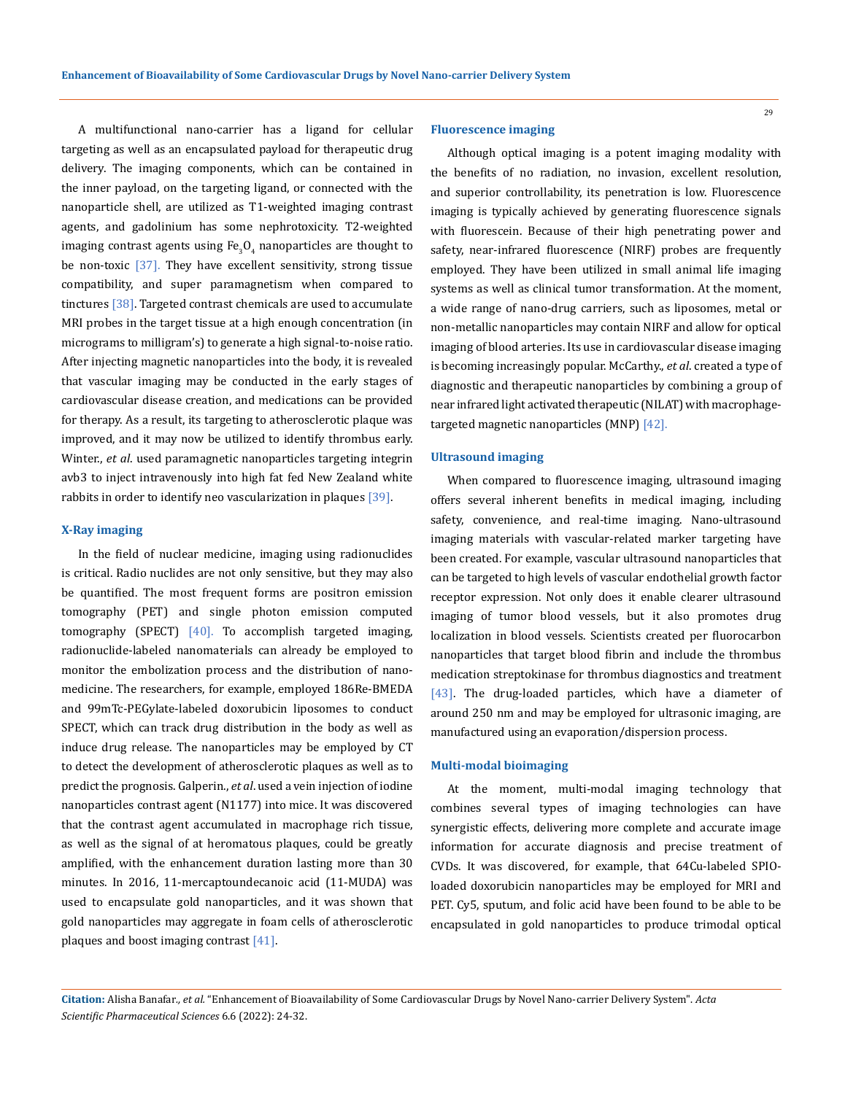A multifunctional nano-carrier has a ligand for cellular targeting as well as an encapsulated payload for therapeutic drug delivery. The imaging components, which can be contained in the inner payload, on the targeting ligand, or connected with the nanoparticle shell, are utilized as T1-weighted imaging contrast agents, and gadolinium has some nephrotoxicity. T2-weighted imaging contrast agents using Fe<sub>3</sub>O<sub>4</sub> nanoparticles are thought to be non-toxic  $\left[37\right]$ . They have excellent sensitivity, strong tissue compatibility, and super paramagnetism when compared to tinctures [38]. Targeted contrast chemicals are used to accumulate MRI probes in the target tissue at a high enough concentration (in micrograms to milligram's) to generate a high signal-to-noise ratio. After injecting magnetic nanoparticles into the body, it is revealed that vascular imaging may be conducted in the early stages of cardiovascular disease creation, and medications can be provided for therapy. As a result, its targeting to atherosclerotic plaque was improved, and it may now be utilized to identify thrombus early. Winter., *et al*. used paramagnetic nanoparticles targeting integrin avb3 to inject intravenously into high fat fed New Zealand white rabbits in order to identify neo vascularization in plaques [39].

#### **X-Ray imaging**

In the field of nuclear medicine, imaging using radionuclides is critical. Radio nuclides are not only sensitive, but they may also be quantified. The most frequent forms are positron emission tomography (PET) and single photon emission computed tomography (SPECT)  $[40]$ . To accomplish targeted imaging, radionuclide-labeled nanomaterials can already be employed to monitor the embolization process and the distribution of nanomedicine. The researchers, for example, employed 186Re-BMEDA and 99mTc-PEGylate-labeled doxorubicin liposomes to conduct SPECT, which can track drug distribution in the body as well as induce drug release. The nanoparticles may be employed by CT to detect the development of atherosclerotic plaques as well as to predict the prognosis. Galperin., *et al*. used a vein injection of iodine nanoparticles contrast agent (N1177) into mice. It was discovered that the contrast agent accumulated in macrophage rich tissue, as well as the signal of at heromatous plaques, could be greatly amplified, with the enhancement duration lasting more than 30 minutes. In 2016, 11-mercaptoundecanoic acid (11-MUDA) was used to encapsulate gold nanoparticles, and it was shown that gold nanoparticles may aggregate in foam cells of atherosclerotic plaques and boost imaging contrast  $[41]$ .

## **Fluorescence imaging**

Although optical imaging is a potent imaging modality with the benefits of no radiation, no invasion, excellent resolution, and superior controllability, its penetration is low. Fluorescence imaging is typically achieved by generating fluorescence signals with fluorescein. Because of their high penetrating power and safety, near-infrared fluorescence (NIRF) probes are frequently employed. They have been utilized in small animal life imaging systems as well as clinical tumor transformation. At the moment, a wide range of nano-drug carriers, such as liposomes, metal or non-metallic nanoparticles may contain NIRF and allow for optical imaging of blood arteries. Its use in cardiovascular disease imaging is becoming increasingly popular. McCarthy., *et al*. created a type of diagnostic and therapeutic nanoparticles by combining a group of near infrared light activated therapeutic (NILAT) with macrophagetargeted magnetic nanoparticles (MNP) [42].

#### **Ultrasound imaging**

When compared to fluorescence imaging, ultrasound imaging offers several inherent benefits in medical imaging, including safety, convenience, and real-time imaging. Nano-ultrasound imaging materials with vascular-related marker targeting have been created. For example, vascular ultrasound nanoparticles that can be targeted to high levels of vascular endothelial growth factor receptor expression. Not only does it enable clearer ultrasound imaging of tumor blood vessels, but it also promotes drug localization in blood vessels. Scientists created per fluorocarbon nanoparticles that target blood fibrin and include the thrombus medication streptokinase for thrombus diagnostics and treatment [43]. The drug-loaded particles, which have a diameter of around 250 nm and may be employed for ultrasonic imaging, are manufactured using an evaporation/dispersion process.

## **Multi-modal bioimaging**

At the moment, multi-modal imaging technology that combines several types of imaging technologies can have synergistic effects, delivering more complete and accurate image information for accurate diagnosis and precise treatment of CVDs. It was discovered, for example, that 64Cu-labeled SPIOloaded doxorubicin nanoparticles may be employed for MRI and PET. Cy5, sputum, and folic acid have been found to be able to be encapsulated in gold nanoparticles to produce trimodal optical

**Citation:** Alisha Banafar*., et al.* "Enhancement of Bioavailability of Some Cardiovascular Drugs by Novel Nano-carrier Delivery System". *Acta Scientific Pharmaceutical Sciences* 6.6 (2022): 24-32.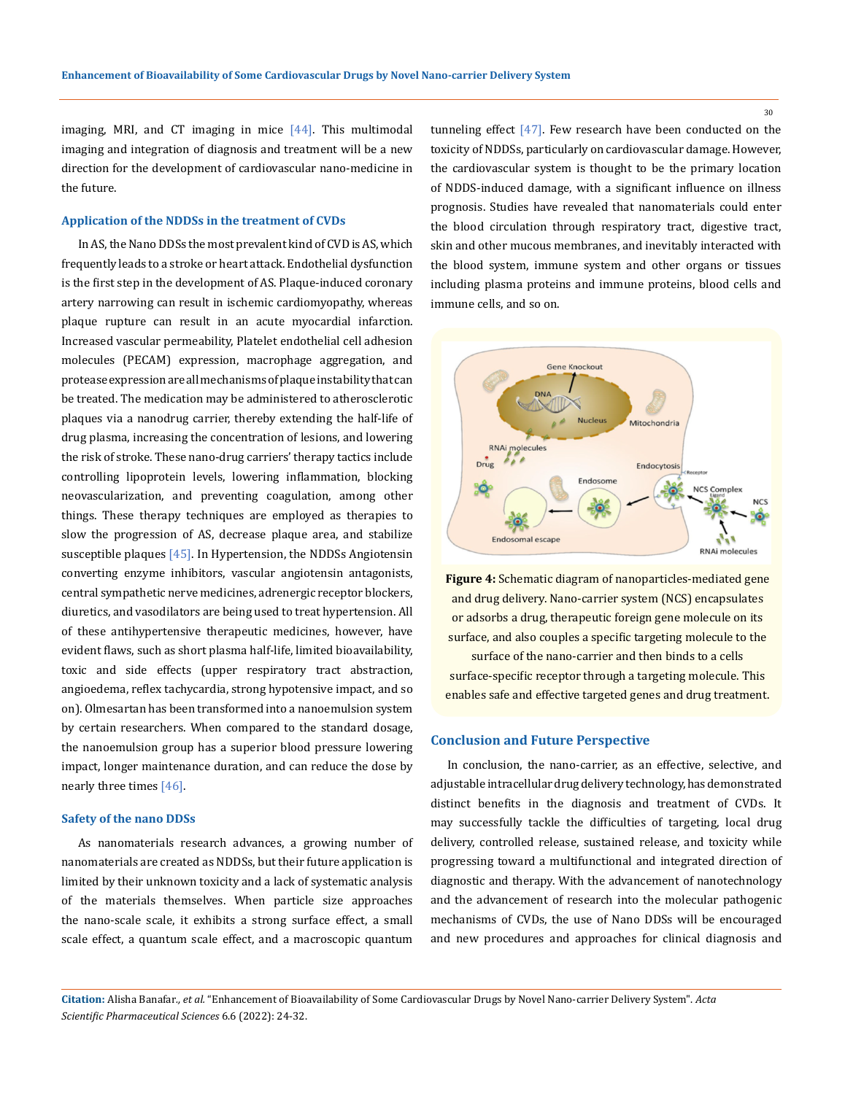imaging, MRI, and CT imaging in mice  $[44]$ . This multimodal imaging and integration of diagnosis and treatment will be a new direction for the development of cardiovascular nano-medicine in the future.

## **Application of the NDDSs in the treatment of CVDs**

In AS, the Nano DDSs the most prevalent kind of CVD is AS, which frequently leads to a stroke or heart attack. Endothelial dysfunction is the first step in the development of AS. Plaque-induced coronary artery narrowing can result in ischemic cardiomyopathy, whereas plaque rupture can result in an acute myocardial infarction. Increased vascular permeability, Platelet endothelial cell adhesion molecules (PECAM) expression, macrophage aggregation, and protease expression are all mechanisms of plaque instability that can be treated. The medication may be administered to atherosclerotic plaques via a nanodrug carrier, thereby extending the half-life of drug plasma, increasing the concentration of lesions, and lowering the risk of stroke. These nano-drug carriers' therapy tactics include controlling lipoprotein levels, lowering inflammation, blocking neovascularization, and preventing coagulation, among other things. These therapy techniques are employed as therapies to slow the progression of AS, decrease plaque area, and stabilize susceptible plaques  $[45]$ . In Hypertension, the NDDSs Angiotensin converting enzyme inhibitors, vascular angiotensin antagonists, central sympathetic nerve medicines, adrenergic receptor blockers, diuretics, and vasodilators are being used to treat hypertension. All of these antihypertensive therapeutic medicines, however, have evident flaws, such as short plasma half-life, limited bioavailability, toxic and side effects (upper respiratory tract abstraction, angioedema, reflex tachycardia, strong hypotensive impact, and so on). Olmesartan has been transformed into a nanoemulsion system by certain researchers. When compared to the standard dosage, the nanoemulsion group has a superior blood pressure lowering impact, longer maintenance duration, and can reduce the dose by nearly three times [46].

## **Safety of the nano DDSs**

As nanomaterials research advances, a growing number of nanomaterials are created as NDDSs, but their future application is limited by their unknown toxicity and a lack of systematic analysis of the materials themselves. When particle size approaches the nano-scale scale, it exhibits a strong surface effect, a small scale effect, a quantum scale effect, and a macroscopic quantum

tunneling effect  $[47]$ . Few research have been conducted on the toxicity of NDDSs, particularly on cardiovascular damage. However, the cardiovascular system is thought to be the primary location of NDDS-induced damage, with a significant influence on illness prognosis. Studies have revealed that nanomaterials could enter the blood circulation through respiratory tract, digestive tract, skin and other mucous membranes, and inevitably interacted with the blood system, immune system and other organs or tissues including plasma proteins and immune proteins, blood cells and immune cells, and so on.



**Figure 4:** Schematic diagram of nanoparticles-mediated gene and drug delivery. Nano-carrier system (NCS) encapsulates or adsorbs a drug, therapeutic foreign gene molecule on its surface, and also couples a specific targeting molecule to the

surface of the nano-carrier and then binds to a cells surface-specific receptor through a targeting molecule. This enables safe and effective targeted genes and drug treatment.

## **Conclusion and Future Perspective**

In conclusion, the nano-carrier, as an effective, selective, and adjustable intracellular drug delivery technology, has demonstrated distinct benefits in the diagnosis and treatment of CVDs. It may successfully tackle the difficulties of targeting, local drug delivery, controlled release, sustained release, and toxicity while progressing toward a multifunctional and integrated direction of diagnostic and therapy. With the advancement of nanotechnology and the advancement of research into the molecular pathogenic mechanisms of CVDs, the use of Nano DDSs will be encouraged and new procedures and approaches for clinical diagnosis and

**Citation:** Alisha Banafar*., et al.* "Enhancement of Bioavailability of Some Cardiovascular Drugs by Novel Nano-carrier Delivery System". *Acta Scientific Pharmaceutical Sciences* 6.6 (2022): 24-32.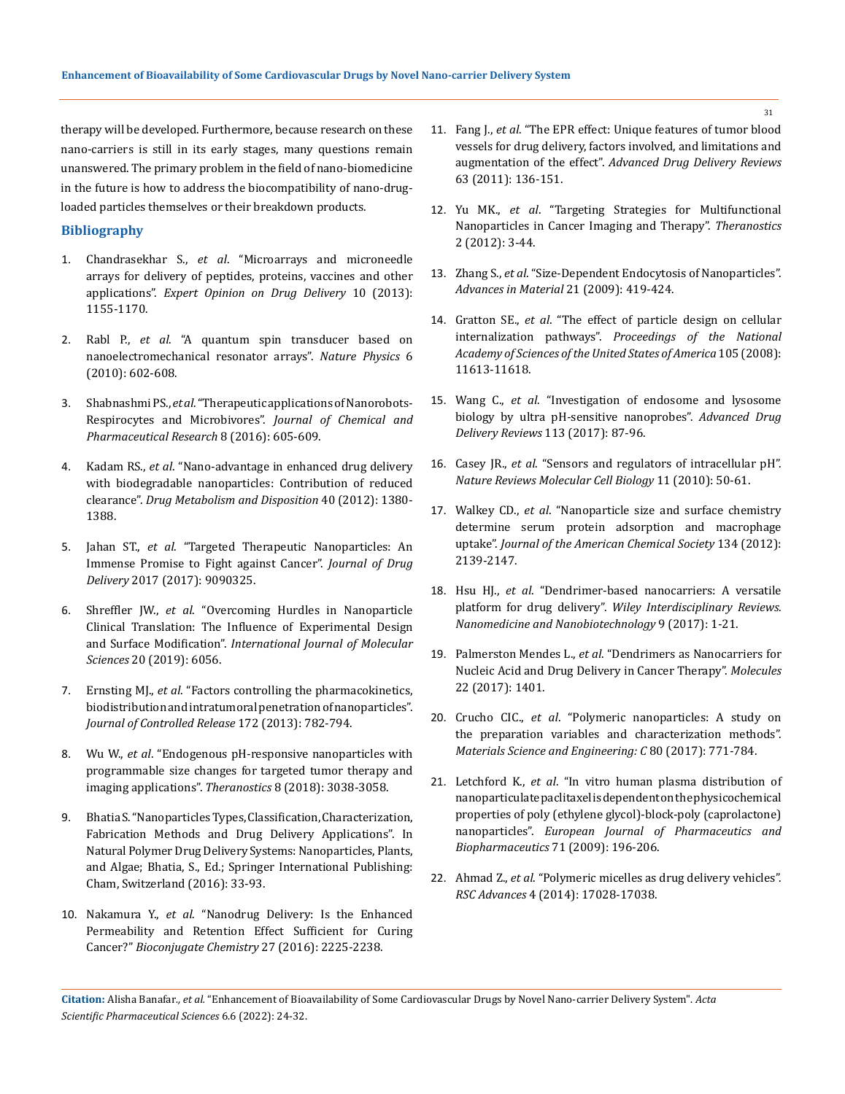therapy will be developed. Furthermore, because research on these nano-carriers is still in its early stages, many questions remain unanswered. The primary problem in the field of nano-biomedicine in the future is how to address the biocompatibility of nano-drugloaded particles themselves or their breakdown products.

## **Bibliography**

- 1. Chandrasekhar S., *et al*[. "Microarrays and microneedle](https://www.tandfonline.com/doi/abs/10.1517/17425247.2013.797405?journalCode=iedd20)  [arrays for delivery of peptides, proteins, vaccines and other](https://www.tandfonline.com/doi/abs/10.1517/17425247.2013.797405?journalCode=iedd20)  applications". *[Expert Opinion on Drug Delivery](https://www.tandfonline.com/doi/abs/10.1517/17425247.2013.797405?journalCode=iedd20)* 10 (2013): [1155-1170.](https://www.tandfonline.com/doi/abs/10.1517/17425247.2013.797405?journalCode=iedd20)
- 2. Rabl P., *et al*[. "A quantum spin transducer based on](https://www.nature.com/articles/nphys1679)  [nanoelectromechanical resonator arrays".](https://www.nature.com/articles/nphys1679) *Nature Physics* 6 [\(2010\): 602-608.](https://www.nature.com/articles/nphys1679)
- 3. Shabnashmi PS., *et al*[. "Therapeutic applications of Nanorobots-](https://www.scholarscentral.com/pdfs/136333/therapeutic-applications-of-nanorobots-respirocytes-and-microbivores.pdf)[Respirocytes and Microbivores".](https://www.scholarscentral.com/pdfs/136333/therapeutic-applications-of-nanorobots-respirocytes-and-microbivores.pdf) *Journal of Chemical and [Pharmaceutical Research](https://www.scholarscentral.com/pdfs/136333/therapeutic-applications-of-nanorobots-respirocytes-and-microbivores.pdf)* 8 (2016): 605-609.
- 4. Kadam RS., *et al*[. "Nano-advantage in enhanced drug delivery](https://pubmed.ncbi.nlm.nih.gov/22498894/)  [with biodegradable nanoparticles: Contribution of reduced](https://pubmed.ncbi.nlm.nih.gov/22498894/)  clearance". *[Drug Metabolism and Disposition](https://pubmed.ncbi.nlm.nih.gov/22498894/)* 40 (2012): 1380- [1388.](https://pubmed.ncbi.nlm.nih.gov/22498894/)
- 5. Jahan ST., *et al*[. "Targeted Therapeutic Nanoparticles: An](https://pubmed.ncbi.nlm.nih.gov/29464123/)  [Immense Promise to Fight against Cancer".](https://pubmed.ncbi.nlm.nih.gov/29464123/) *Journal of Drug Delivery* [2017 \(2017\): 9090325.](https://pubmed.ncbi.nlm.nih.gov/29464123/)
- 6. Shreffler JW., *et al*[. "Overcoming Hurdles in Nanoparticle](https://www.mdpi.com/1422-0067/20/23/6056)  [Clinical Translation: The Influence of Experimental Design](https://www.mdpi.com/1422-0067/20/23/6056)  and Surface Modification". *[International Journal of Molecular](https://www.mdpi.com/1422-0067/20/23/6056)  Sciences* [20 \(2019\): 6056.](https://www.mdpi.com/1422-0067/20/23/6056)
- 7. Ernsting MJ., *et al*[. "Factors controlling the pharmacokinetics,](https://pubmed.ncbi.nlm.nih.gov/24075927/)  [biodistribution and intratumoral penetration of nanoparticles".](https://pubmed.ncbi.nlm.nih.gov/24075927/)  *[Journal of Controlled Release](https://pubmed.ncbi.nlm.nih.gov/24075927/)* 172 (2013): 782-794.
- 8. Wu W., *et al*[. "Endogenous pH-responsive nanoparticles with](https://pubmed.ncbi.nlm.nih.gov/29896301/)  [programmable size changes for targeted tumor therapy and](https://pubmed.ncbi.nlm.nih.gov/29896301/)  [imaging applications".](https://pubmed.ncbi.nlm.nih.gov/29896301/) *Theranostics* 8 (2018): 3038-3058.
- 9. Bhatia S. "Nanoparticles Types, Classification, Characterization, Fabrication Methods and Drug Delivery Applications". In Natural Polymer Drug Delivery Systems: Nanoparticles, Plants, and Algae; Bhatia, S., Ed.; Springer International Publishing: Cham, Switzerland (2016): 33-93.
- 10. Nakamura Y., *et al*[. "Nanodrug Delivery: Is the Enhanced](https://pubs.acs.org/doi/10.1021/acs.bioconjchem.6b00437)  [Permeability and Retention Effect Sufficient for Curing](https://pubs.acs.org/doi/10.1021/acs.bioconjchem.6b00437)  Cancer?" *[Bioconjugate Chemistry](https://pubs.acs.org/doi/10.1021/acs.bioconjchem.6b00437)* 27 (2016): 2225-2238.
- 11. Fang J., *et al*[. "The EPR effect: Unique features of tumor blood](https://www.sciencedirect.com/science/article/abs/pii/S0169409X10000906)  [vessels for drug delivery, factors involved, and limitations and](https://www.sciencedirect.com/science/article/abs/pii/S0169409X10000906)  augmentation of the effect". *[Advanced Drug Delivery Reviews](https://www.sciencedirect.com/science/article/abs/pii/S0169409X10000906)* [63 \(2011\): 136-151.](https://www.sciencedirect.com/science/article/abs/pii/S0169409X10000906)
- 12. Yu MK., *et al*[. "Targeting Strategies for Multifunctional](https://www.ncbi.nlm.nih.gov/pmc/articles/PMC3263514/)  [Nanoparticles in Cancer Imaging and Therapy".](https://www.ncbi.nlm.nih.gov/pmc/articles/PMC3263514/) *Theranostics*  [2 \(2012\): 3-44.](https://www.ncbi.nlm.nih.gov/pmc/articles/PMC3263514/)
- 13. Zhang S., *et al*[. "Size-Dependent Endocytosis of Nanoparticles".](https://onlinelibrary.wiley.com/doi/10.1002/adma.200801393)  *[Advances in Material](https://onlinelibrary.wiley.com/doi/10.1002/adma.200801393)* 21 (2009): 419-424.
- 14. Gratton SE., *et al*[. "The effect of particle design on cellular](https://www.pnas.org/doi/full/10.1073/pnas.0801763105)  internalization pathways". *[Proceedings of the National](https://www.pnas.org/doi/full/10.1073/pnas.0801763105)  [Academy of Sciences of the United States of America](https://www.pnas.org/doi/full/10.1073/pnas.0801763105)* 105 (2008): [11613-11618.](https://www.pnas.org/doi/full/10.1073/pnas.0801763105)
- 15. Wang C., *et al*[. "Investigation of endosome and lysosome](https://www.sciencedirect.com/science/article/abs/pii/S0169409X16302551)  [biology by ultra pH-sensitive nanoprobes".](https://www.sciencedirect.com/science/article/abs/pii/S0169409X16302551) *Advanced Drug [Delivery Reviews](https://www.sciencedirect.com/science/article/abs/pii/S0169409X16302551)* 113 (2017): 87-96.
- 16. Casey JR., *et al*[. "Sensors and regulators of intracellular pH".](https://www.nature.com/articles/nrm2820)  *[Nature Reviews Molecular Cell Biology](https://www.nature.com/articles/nrm2820)* 11 (2010): 50-61.
- 17. Walkey CD., *et al*[. "Nanoparticle size and surface chemistry](https://pubs.acs.org/doi/10.1021/ja2084338)  [determine serum protein adsorption and macrophage](https://pubs.acs.org/doi/10.1021/ja2084338)  uptake". *[Journal of the American Chemical Society](https://pubs.acs.org/doi/10.1021/ja2084338)* 134 (2012): [2139-2147.](https://pubs.acs.org/doi/10.1021/ja2084338)
- 18. Hsu HJ., *et al*[. "Dendrimer-based nanocarriers: A versatile](https://pubmed.ncbi.nlm.nih.gov/27126551/)  platform for drug delivery". *[Wiley Interdisciplinary Reviews.](https://pubmed.ncbi.nlm.nih.gov/27126551/)  [Nanomedicine and Nanobiotechnology](https://pubmed.ncbi.nlm.nih.gov/27126551/)* 9 (2017): 1-21.
- 19. Palmerston Mendes L., *et al*. "Dendrimers as Nanocarriers for Nucleic Acid and Drug Delivery in Cancer Therapy". *Molecules*  22 (2017): 1401.
- 20. Crucho CIC., *et al*[. "Polymeric nanoparticles: A study on](https://www.sciencedirect.com/science/article/pii/S092849311732163X)  [the preparation variables and characterization methods".](https://www.sciencedirect.com/science/article/pii/S092849311732163X)  *[Materials Science and Engineering: C](https://www.sciencedirect.com/science/article/pii/S092849311732163X)* 80 (2017): 771-784.
- 21. Letchford K., *et al*[. "In vitro human plasma distribution of](https://pubmed.ncbi.nlm.nih.gov/18762253/)  [nanoparticulate paclitaxel is dependent on the physicochemical](https://pubmed.ncbi.nlm.nih.gov/18762253/)  [properties of poly \(ethylene glycol\)-block-poly \(caprolactone\)](https://pubmed.ncbi.nlm.nih.gov/18762253/)  nanoparticles". *[European Journal of Pharmaceutics and](https://pubmed.ncbi.nlm.nih.gov/18762253/)  [Biopharmaceutics](https://pubmed.ncbi.nlm.nih.gov/18762253/)* 71 (2009): 196-206.
- 22. Ahmad Z., *et al*[. "Polymeric micelles as drug delivery vehicles".](https://pubs.rsc.org/en/content/articlelanding/2014/ra/c3ra47370h)  *RSC Advances* [4 \(2014\): 17028-17038.](https://pubs.rsc.org/en/content/articlelanding/2014/ra/c3ra47370h)

**Citation:** Alisha Banafar*., et al.* "Enhancement of Bioavailability of Some Cardiovascular Drugs by Novel Nano-carrier Delivery System". *Acta Scientific Pharmaceutical Sciences* 6.6 (2022): 24-32.